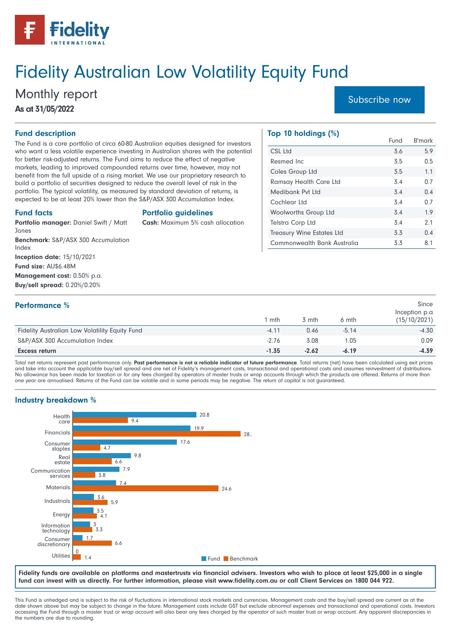

# Fidelity Australian Low Volatility Equity Fund

# Monthly report [Subscribe now](https://www.fidelity.com.au/funds/fund-performance/#factsheets) As at 31/05/2022

#### Fund description

The Fund is a core portfolio of circa 60-80 Australian equities designed for investors who want a less volatile experience investing in Australian shares with the potential for better risk-adjusted returns. The Fund aims to reduce the effect of negative markets, leading to improved compounded returns over time, however, may not benefit from the full upside of a rising market. We use our proprietary research to build a portfolio of securities designed to reduce the overall level of risk in the portfolio. The typical volatility, as measured by standard deviation of returns, is expected to be at least 20% lower than the S&P/ASX 300 Accumulation Index.

#### Fund facts

Portfolio guidelines

Cash: Maximum 5% cash allocation

Jones Benchmark: S&P/ASX 300 Accumulation Index Inception date: 15/10/2021 Fund size: AU\$6.48M Management cost: 0.50% p.a. Buy/sell spread: 0.20%/0.20%

Portfolio manager: Daniel Swift / Matt

#### Top 10 holdings (%)

|                                  | Fund | B'mark |
|----------------------------------|------|--------|
| CSL Ltd                          | 3.6  | 5.9    |
| Resmed Inc                       | 3.5  | 0.5    |
| Coles Group Ltd                  | 3.5  | 1.1    |
| <b>Ramsay Health Care Ltd</b>    | 3.4  | 0.7    |
| Medibank Pvt Ltd                 | 3.4  | 0.4    |
| Cochlear Ltd                     | 3.4  | 0.7    |
| <b>Woolworths Group Ltd</b>      | 3.4  | 1.9    |
| <b>Telstra Corp Ltd</b>          | 3.4  | 2.1    |
| <b>Treasury Wine Estates Ltd</b> | 3.3  | 0.4    |
| Commonwealth Bank Australia      | 3.3  | 8.1    |

| <b>Performance</b> %                           |         |         |         | Since<br>Inception p.a |
|------------------------------------------------|---------|---------|---------|------------------------|
|                                                | mth     | 3 mth   | 6 mth   | (15/10/2021)           |
| Fidelity Australian Low Volatility Equity Fund | $-4.11$ | 0.46    | $-5.14$ | $-4.30$                |
| S&P/ASX 300 Accumulation Index                 | $-2.76$ | 3.08    | 1.05    | 0.09                   |
| <b>Excess return</b>                           | $-1.35$ | $-2.62$ | $-6.19$ | $-4.39$                |

Total net returns represent past performance only. Past performance is not a reliable indicator of future performance. Total returns (net) have been calculated using exit prices and take into account the applicable buy/sell spread and are net of Fidelity's management costs, transactional and operational costs and assumes reinvestment of distributions. No allowance has been made for taxation or for any fees charged by operators of master trusts or wrap accounts through which the products are offered. Returns of more than one year are annualised. Returns of the Fund can be volatile and in some periods may be negative. The return of capital is not guaranteed.

### Industry breakdown %



Fidelity funds are available on platforms and mastertrusts via financial advisers. Investors who wish to place at least \$25,000 in a single fund can invest with us directly. For further information, please visit www.fidelity.com.au or call Client Services on 1800 044 922.

This Fund is unhedged and is subject to the risk of fluctuations in international stock markets and currencies. Management costs and the buy/sell spread are current as at the date shown above but may be subject to change in the future. Management costs include GST but exclude abnormal expenses and transactional and operational costs. Investors accessing the Fund through a master trust or wrap account will also bear any fees charged by the operator of such master trust or wrap account. Any apparent discrepancies in the numbers are due to rounding.